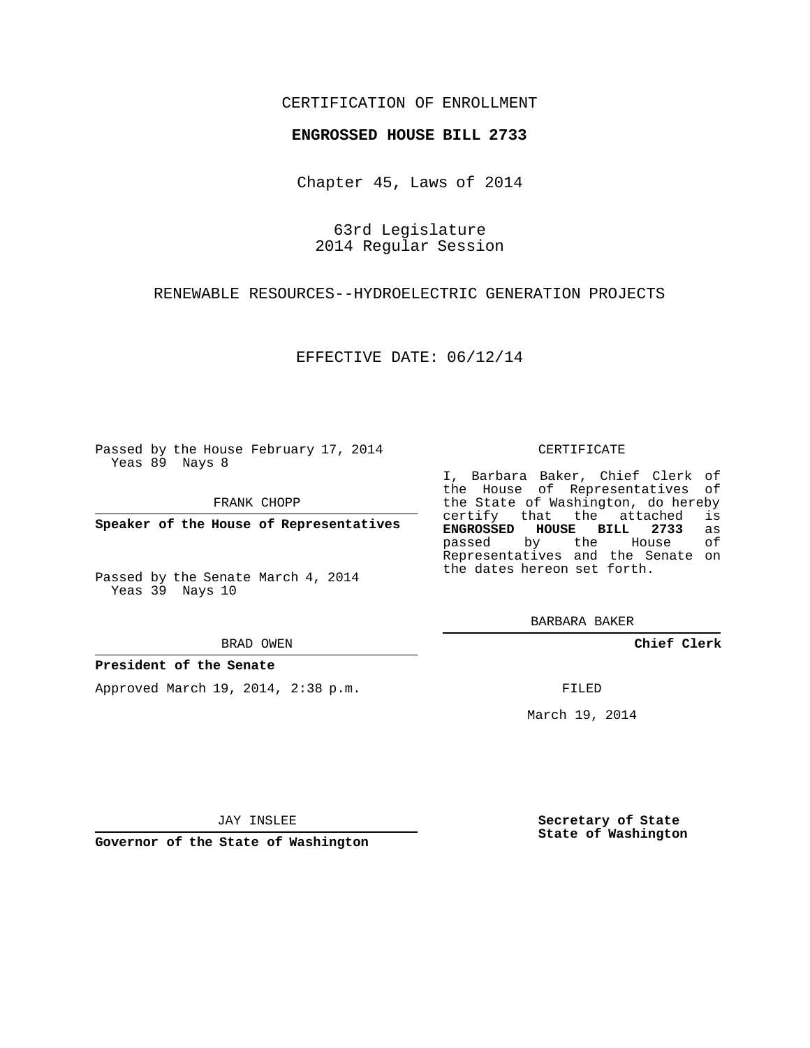### CERTIFICATION OF ENROLLMENT

#### **ENGROSSED HOUSE BILL 2733**

Chapter 45, Laws of 2014

63rd Legislature 2014 Regular Session

RENEWABLE RESOURCES--HYDROELECTRIC GENERATION PROJECTS

EFFECTIVE DATE: 06/12/14

Passed by the House February 17, 2014 Yeas 89 Nays 8

FRANK CHOPP

**Speaker of the House of Representatives**

Passed by the Senate March 4, 2014 Yeas 39 Nays 10

BRAD OWEN

#### **President of the Senate**

Approved March 19, 2014, 2:38 p.m.

#### CERTIFICATE

I, Barbara Baker, Chief Clerk of the House of Representatives of the State of Washington, do hereby<br>certify that the attached is certify that the attached **ENGROSSED HOUSE BILL 2733** as passed by the House Representatives and the Senate on the dates hereon set forth.

BARBARA BAKER

**Chief Clerk**

FILED

March 19, 2014

JAY INSLEE

**Governor of the State of Washington**

**Secretary of State State of Washington**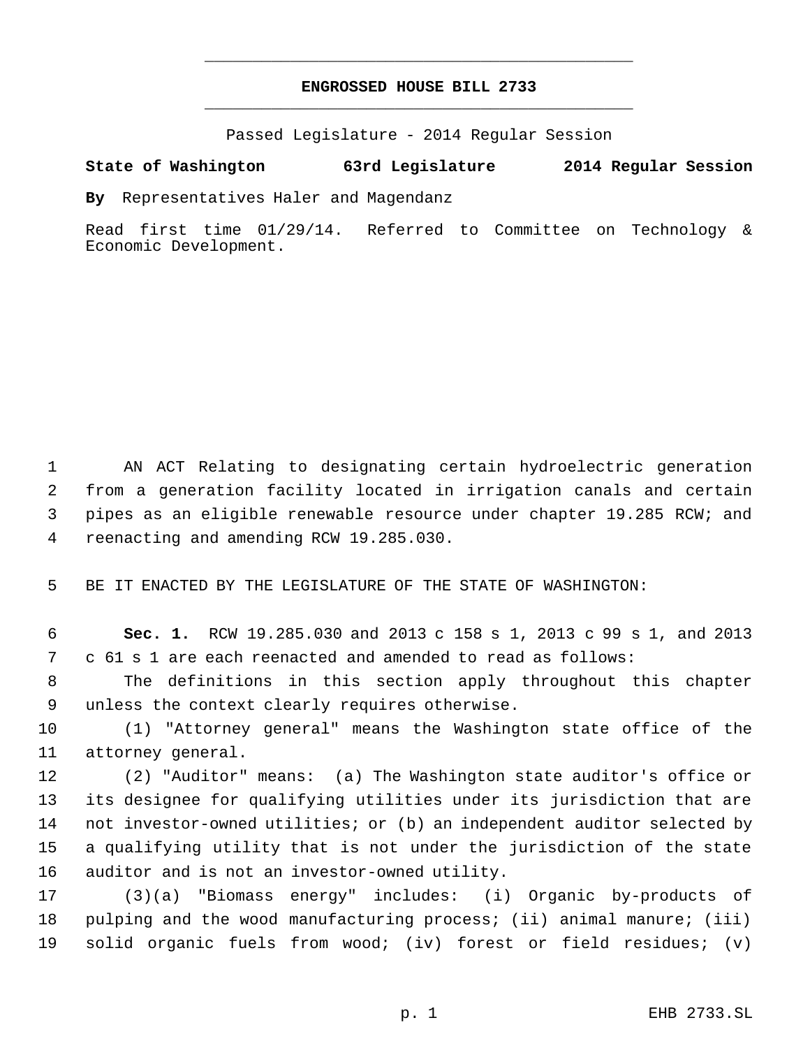# **ENGROSSED HOUSE BILL 2733** \_\_\_\_\_\_\_\_\_\_\_\_\_\_\_\_\_\_\_\_\_\_\_\_\_\_\_\_\_\_\_\_\_\_\_\_\_\_\_\_\_\_\_\_\_

\_\_\_\_\_\_\_\_\_\_\_\_\_\_\_\_\_\_\_\_\_\_\_\_\_\_\_\_\_\_\_\_\_\_\_\_\_\_\_\_\_\_\_\_\_

Passed Legislature - 2014 Regular Session

## **State of Washington 63rd Legislature 2014 Regular Session**

**By** Representatives Haler and Magendanz

Read first time 01/29/14. Referred to Committee on Technology & Economic Development.

 AN ACT Relating to designating certain hydroelectric generation from a generation facility located in irrigation canals and certain pipes as an eligible renewable resource under chapter 19.285 RCW; and reenacting and amending RCW 19.285.030.

BE IT ENACTED BY THE LEGISLATURE OF THE STATE OF WASHINGTON:

 **Sec. 1.** RCW 19.285.030 and 2013 c 158 s 1, 2013 c 99 s 1, and 2013 c 61 s 1 are each reenacted and amended to read as follows:

 The definitions in this section apply throughout this chapter unless the context clearly requires otherwise.

 (1) "Attorney general" means the Washington state office of the attorney general.

 (2) "Auditor" means: (a) The Washington state auditor's office or its designee for qualifying utilities under its jurisdiction that are not investor-owned utilities; or (b) an independent auditor selected by a qualifying utility that is not under the jurisdiction of the state auditor and is not an investor-owned utility.

 (3)(a) "Biomass energy" includes: (i) Organic by-products of pulping and the wood manufacturing process; (ii) animal manure; (iii) solid organic fuels from wood; (iv) forest or field residues; (v)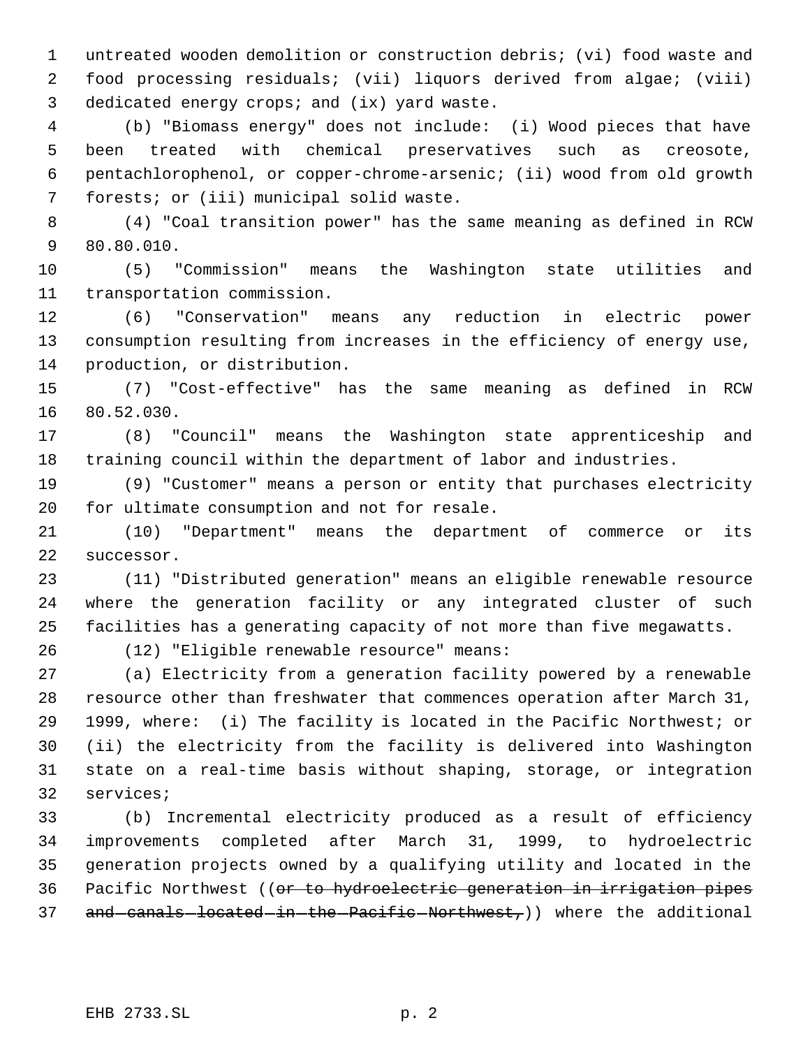untreated wooden demolition or construction debris; (vi) food waste and food processing residuals; (vii) liquors derived from algae; (viii) dedicated energy crops; and (ix) yard waste.

 (b) "Biomass energy" does not include: (i) Wood pieces that have been treated with chemical preservatives such as creosote, pentachlorophenol, or copper-chrome-arsenic; (ii) wood from old growth forests; or (iii) municipal solid waste.

 (4) "Coal transition power" has the same meaning as defined in RCW 80.80.010.

 (5) "Commission" means the Washington state utilities and transportation commission.

 (6) "Conservation" means any reduction in electric power consumption resulting from increases in the efficiency of energy use, production, or distribution.

 (7) "Cost-effective" has the same meaning as defined in RCW 80.52.030.

 (8) "Council" means the Washington state apprenticeship and training council within the department of labor and industries.

 (9) "Customer" means a person or entity that purchases electricity for ultimate consumption and not for resale.

 (10) "Department" means the department of commerce or its successor.

 (11) "Distributed generation" means an eligible renewable resource where the generation facility or any integrated cluster of such facilities has a generating capacity of not more than five megawatts.

(12) "Eligible renewable resource" means:

 (a) Electricity from a generation facility powered by a renewable resource other than freshwater that commences operation after March 31, 1999, where: (i) The facility is located in the Pacific Northwest; or (ii) the electricity from the facility is delivered into Washington state on a real-time basis without shaping, storage, or integration services;

 (b) Incremental electricity produced as a result of efficiency improvements completed after March 31, 1999, to hydroelectric generation projects owned by a qualifying utility and located in the Pacific Northwest ((or to hydroelectric generation in irrigation pipes 37 and canals located in the Pacific Northwest,)) where the additional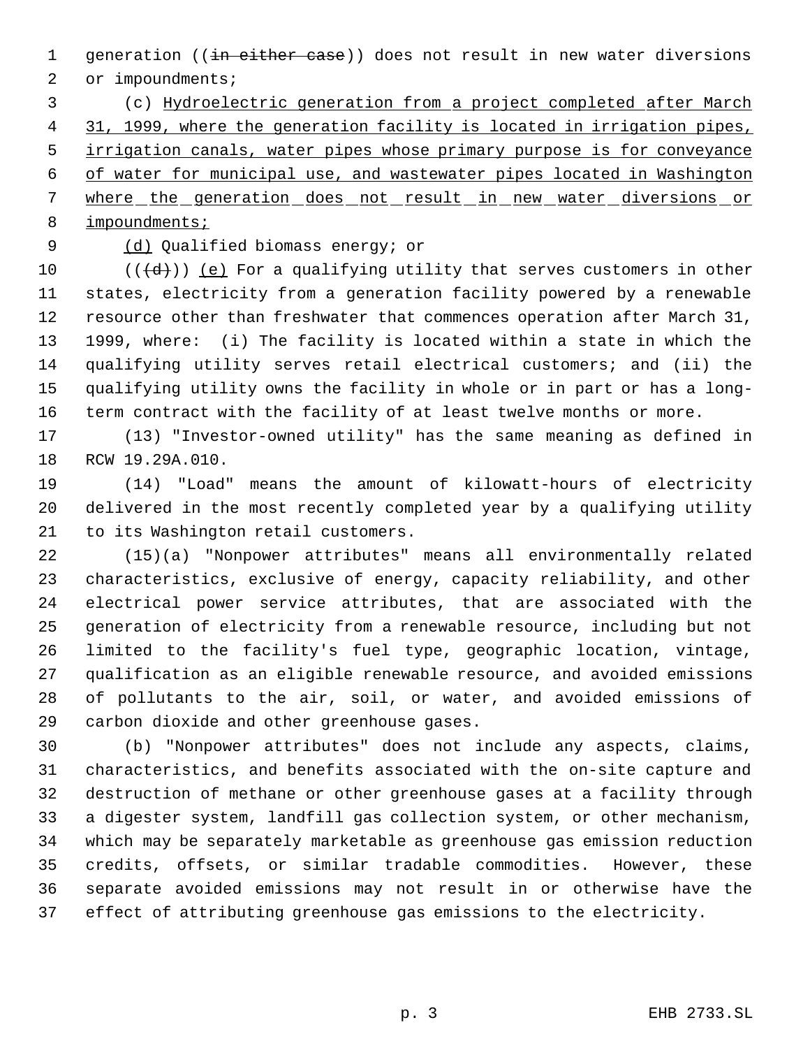1 generation ((in either case)) does not result in new water diversions

2 or impoundments;

 (c) Hydroelectric generation from a project completed after March 31, 1999, where the generation facility is located in irrigation pipes, irrigation canals, water pipes whose primary purpose is for conveyance of water for municipal use, and wastewater pipes located in Washington 7 where the generation does not result in new water diversions or impoundments;

(d) Qualified biomass energy; or

 $((\{d\})\)$  (e) For a qualifying utility that serves customers in other states, electricity from a generation facility powered by a renewable resource other than freshwater that commences operation after March 31, 1999, where: (i) The facility is located within a state in which the qualifying utility serves retail electrical customers; and (ii) the qualifying utility owns the facility in whole or in part or has a long-term contract with the facility of at least twelve months or more.

 (13) "Investor-owned utility" has the same meaning as defined in RCW 19.29A.010.

 (14) "Load" means the amount of kilowatt-hours of electricity delivered in the most recently completed year by a qualifying utility to its Washington retail customers.

 (15)(a) "Nonpower attributes" means all environmentally related characteristics, exclusive of energy, capacity reliability, and other electrical power service attributes, that are associated with the generation of electricity from a renewable resource, including but not limited to the facility's fuel type, geographic location, vintage, qualification as an eligible renewable resource, and avoided emissions of pollutants to the air, soil, or water, and avoided emissions of carbon dioxide and other greenhouse gases.

 (b) "Nonpower attributes" does not include any aspects, claims, characteristics, and benefits associated with the on-site capture and destruction of methane or other greenhouse gases at a facility through a digester system, landfill gas collection system, or other mechanism, which may be separately marketable as greenhouse gas emission reduction credits, offsets, or similar tradable commodities. However, these separate avoided emissions may not result in or otherwise have the effect of attributing greenhouse gas emissions to the electricity.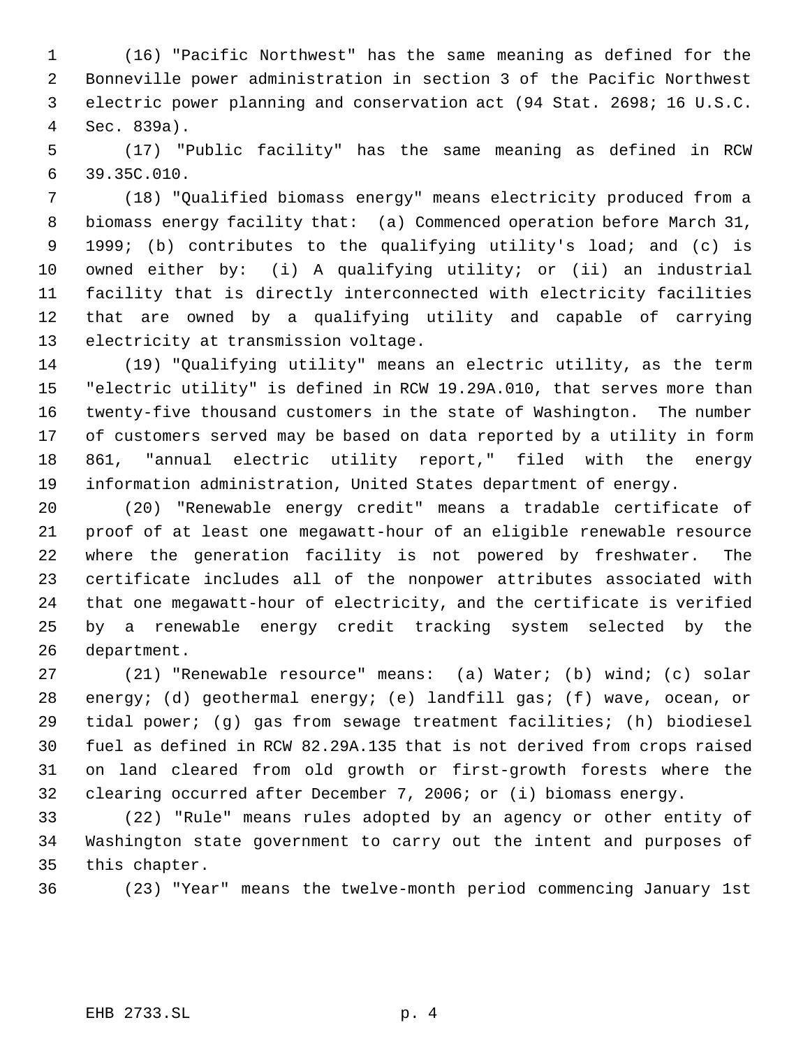(16) "Pacific Northwest" has the same meaning as defined for the Bonneville power administration in section 3 of the Pacific Northwest electric power planning and conservation act (94 Stat. 2698; 16 U.S.C. Sec. 839a).

 (17) "Public facility" has the same meaning as defined in RCW 39.35C.010.

 (18) "Qualified biomass energy" means electricity produced from a biomass energy facility that: (a) Commenced operation before March 31, 1999; (b) contributes to the qualifying utility's load; and (c) is owned either by: (i) A qualifying utility; or (ii) an industrial facility that is directly interconnected with electricity facilities that are owned by a qualifying utility and capable of carrying electricity at transmission voltage.

 (19) "Qualifying utility" means an electric utility, as the term "electric utility" is defined in RCW 19.29A.010, that serves more than twenty-five thousand customers in the state of Washington. The number of customers served may be based on data reported by a utility in form 861, "annual electric utility report," filed with the energy information administration, United States department of energy.

 (20) "Renewable energy credit" means a tradable certificate of proof of at least one megawatt-hour of an eligible renewable resource where the generation facility is not powered by freshwater. The certificate includes all of the nonpower attributes associated with that one megawatt-hour of electricity, and the certificate is verified by a renewable energy credit tracking system selected by the department.

 (21) "Renewable resource" means: (a) Water; (b) wind; (c) solar energy; (d) geothermal energy; (e) landfill gas; (f) wave, ocean, or tidal power; (g) gas from sewage treatment facilities; (h) biodiesel fuel as defined in RCW 82.29A.135 that is not derived from crops raised on land cleared from old growth or first-growth forests where the clearing occurred after December 7, 2006; or (i) biomass energy.

 (22) "Rule" means rules adopted by an agency or other entity of Washington state government to carry out the intent and purposes of this chapter.

(23) "Year" means the twelve-month period commencing January 1st